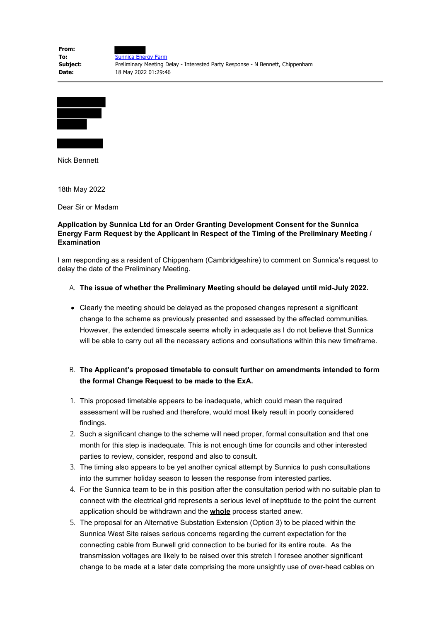| From:    |                                                                               |
|----------|-------------------------------------------------------------------------------|
| To:      | Sunnica Energy Farm                                                           |
| Subject: | Preliminary Meeting Delay - Interested Party Response - N Bennett, Chippenham |
| Date:    | 18 May 2022 01:29:46                                                          |



Nick Bennett

18th May 2022

Dear Sir or Madam

## **Application by Sunnica Ltd for an Order Granting Development Consent for the Sunnica Energy Farm Request by the Applicant in Respect of the Timing of the Preliminary Meeting / Examination**

I am responding as a resident of Chippenham (Cambridgeshire) to comment on Sunnica's request to delay the date of the Preliminary Meeting.

## A. **The issue of whether the Preliminary Meeting should be delayed until mid-July 2022.**

Clearly the meeting should be delayed as the proposed changes represent a significant change to the scheme as previously presented and assessed by the affected communities. However, the extended timescale seems wholly in adequate as I do not believe that Sunnica will be able to carry out all the necessary actions and consultations within this new timeframe.

## B. **The Applicant's proposed timetable to consult further on amendments intended to form the formal Change Request to be made to the ExA.**

- 1. This proposed timetable appears to be inadequate, which could mean the required assessment will be rushed and therefore, would most likely result in poorly considered findings.
- 2. Such a significant change to the scheme will need proper, formal consultation and that one month for this step is inadequate. This is not enough time for councils and other interested parties to review, consider, respond and also to consult.
- 3. The timing also appears to be yet another cynical attempt by Sunnica to push consultations into the summer holiday season to lessen the response from interested parties.
- 4. For the Sunnica team to be in this position after the consultation period with no suitable plan to connect with the electrical grid represents a serious level of ineptitude to the point the current application should be withdrawn and the **whole** process started anew.
- 5. The proposal for an Alternative Substation Extension (Option 3) to be placed within the Sunnica West Site raises serious concerns regarding the current expectation for the connecting cable from Burwell grid connection to be buried for its entire route. As the transmission voltages are likely to be raised over this stretch I foresee another significant change to be made at a later date comprising the more unsightly use of over-head cables on